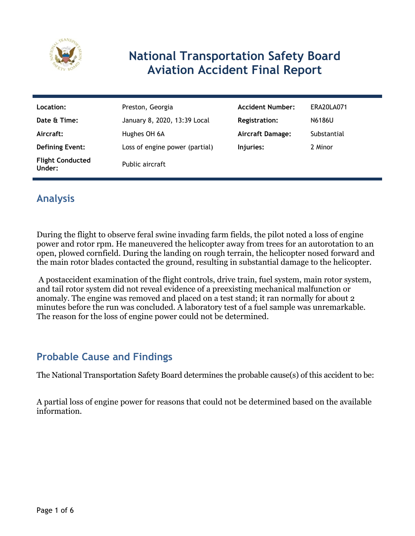

## **National Transportation Safety Board Aviation Accident Final Report**

| Location:                         | Preston, Georgia               | <b>Accident Number:</b> | ERA20LA071  |
|-----------------------------------|--------------------------------|-------------------------|-------------|
| Date & Time:                      | January 8, 2020, 13:39 Local   | <b>Registration:</b>    | N6186U      |
| Aircraft:                         | Hughes OH 6A                   | <b>Aircraft Damage:</b> | Substantial |
| <b>Defining Event:</b>            | Loss of engine power (partial) | Injuries:               | 2 Minor     |
| <b>Flight Conducted</b><br>Under: | Public aircraft                |                         |             |

## **Analysis**

During the flight to observe feral swine invading farm fields, the pilot noted a loss of engine power and rotor rpm. He maneuvered the helicopter away from trees for an autorotation to an open, plowed cornfield. During the landing on rough terrain, the helicopter nosed forward and the main rotor blades contacted the ground, resulting in substantial damage to the helicopter.

 A postaccident examination of the flight controls, drive train, fuel system, main rotor system, and tail rotor system did not reveal evidence of a preexisting mechanical malfunction or anomaly. The engine was removed and placed on a test stand; it ran normally for about 2 minutes before the run was concluded. A laboratory test of a fuel sample was unremarkable. The reason for the loss of engine power could not be determined.

### **Probable Cause and Findings**

The National Transportation Safety Board determines the probable cause(s) of this accident to be:

A partial loss of engine power for reasons that could not be determined based on the available information.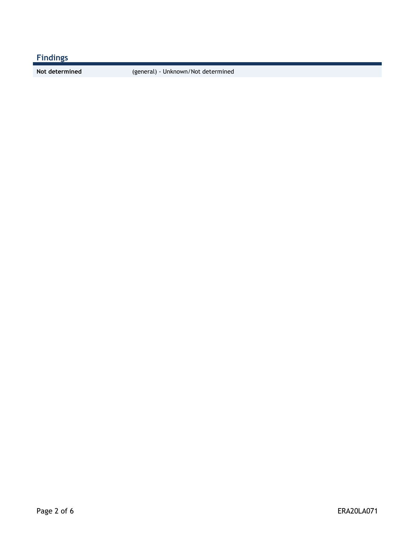## **Findings**

**Not determined** (general) - Unknown/Not determined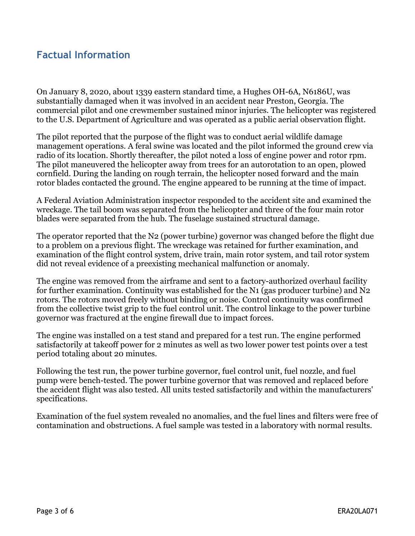### **Factual Information**

On January 8, 2020, about 1339 eastern standard time, a Hughes OH-6A, N6186U, was substantially damaged when it was involved in an accident near Preston, Georgia. The commercial pilot and one crewmember sustained minor injuries. The helicopter was registered to the U.S. Department of Agriculture and was operated as a public aerial observation flight.

The pilot reported that the purpose of the flight was to conduct aerial wildlife damage management operations. A feral swine was located and the pilot informed the ground crew via radio of its location. Shortly thereafter, the pilot noted a loss of engine power and rotor rpm. The pilot maneuvered the helicopter away from trees for an autorotation to an open, plowed cornfield. During the landing on rough terrain, the helicopter nosed forward and the main rotor blades contacted the ground. The engine appeared to be running at the time of impact.

A Federal Aviation Administration inspector responded to the accident site and examined the wreckage. The tail boom was separated from the helicopter and three of the four main rotor blades were separated from the hub. The fuselage sustained structural damage.

The operator reported that the N2 (power turbine) governor was changed before the flight due to a problem on a previous flight. The wreckage was retained for further examination, and examination of the flight control system, drive train, main rotor system, and tail rotor system did not reveal evidence of a preexisting mechanical malfunction or anomaly.

The engine was removed from the airframe and sent to a factory-authorized overhaul facility for further examination. Continuity was established for the N1 (gas producer turbine) and N2 rotors. The rotors moved freely without binding or noise. Control continuity was confirmed from the collective twist grip to the fuel control unit. The control linkage to the power turbine governor was fractured at the engine firewall due to impact forces.

The engine was installed on a test stand and prepared for a test run. The engine performed satisfactorily at takeoff power for 2 minutes as well as two lower power test points over a test period totaling about 20 minutes.

Following the test run, the power turbine governor, fuel control unit, fuel nozzle, and fuel pump were bench-tested. The power turbine governor that was removed and replaced before the accident flight was also tested. All units tested satisfactorily and within the manufacturers' specifications.

Examination of the fuel system revealed no anomalies, and the fuel lines and filters were free of contamination and obstructions. A fuel sample was tested in a laboratory with normal results.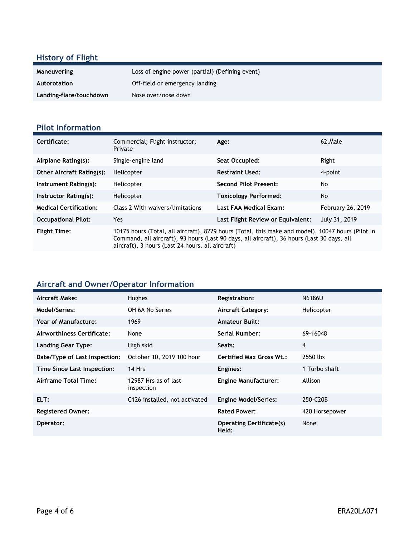## **History of Flight**

| Maneuvering             | Loss of engine power (partial) (Defining event) |
|-------------------------|-------------------------------------------------|
| Autorotation            | Off-field or emergency landing                  |
| Landing-flare/touchdown | Nose over/nose down                             |

#### **Pilot Information**

| Certificate:                     | Commercial; Flight instructor;<br>Private                                                                                                                                                                                                           | Age:                              | 62, Male                 |
|----------------------------------|-----------------------------------------------------------------------------------------------------------------------------------------------------------------------------------------------------------------------------------------------------|-----------------------------------|--------------------------|
| Airplane Rating(s):              | Single-engine land                                                                                                                                                                                                                                  | Seat Occupied:                    | Right                    |
| <b>Other Aircraft Rating(s):</b> | Helicopter                                                                                                                                                                                                                                          | <b>Restraint Used:</b>            | 4-point                  |
| Instrument Rating(s):            | Helicopter                                                                                                                                                                                                                                          | <b>Second Pilot Present:</b>      | No                       |
| Instructor Rating(s):            | Helicopter                                                                                                                                                                                                                                          | <b>Toxicology Performed:</b>      | No.                      |
| <b>Medical Certification:</b>    | Class 2 With waivers/limitations                                                                                                                                                                                                                    | Last FAA Medical Exam:            | <b>February 26, 2019</b> |
| <b>Occupational Pilot:</b>       | Yes                                                                                                                                                                                                                                                 | Last Flight Review or Equivalent: | July 31, 2019            |
| <b>Flight Time:</b>              | 10175 hours (Total, all aircraft), 8229 hours (Total, this make and model), 10047 hours (Pilot In<br>Command, all aircraft), 93 hours (Last 90 days, all aircraft), 36 hours (Last 30 days, all<br>aircraft), 3 hours (Last 24 hours, all aircraft) |                                   |                          |

# **Aircraft and Owner/Operator Information**

| Aircraft Make:                | <b>Hughes</b>                      | <b>Registration:</b>                     | N6186U         |
|-------------------------------|------------------------------------|------------------------------------------|----------------|
| Model/Series:                 | OH 6A No Series                    | <b>Aircraft Category:</b>                | Helicopter     |
| Year of Manufacture:          | 1969                               | <b>Amateur Built:</b>                    |                |
| Airworthiness Certificate:    | None                               | <b>Serial Number:</b>                    | 69-16048       |
| <b>Landing Gear Type:</b>     | High skid                          | Seats:                                   | $\overline{4}$ |
| Date/Type of Last Inspection: | October 10, 2019 100 hour          | <b>Certified Max Gross Wt.:</b>          | 2550 lbs       |
| Time Since Last Inspection:   | 14 Hrs                             | Engines:                                 | 1 Turbo shaft  |
| Airframe Total Time:          | 12987 Hrs as of last<br>inspection | <b>Engine Manufacturer:</b>              | Allison        |
| ELT:                          | C126 installed, not activated      | <b>Engine Model/Series:</b>              | 250-C20B       |
| <b>Registered Owner:</b>      |                                    | <b>Rated Power:</b>                      | 420 Horsepower |
| Operator:                     |                                    | <b>Operating Certificate(s)</b><br>Held: | None           |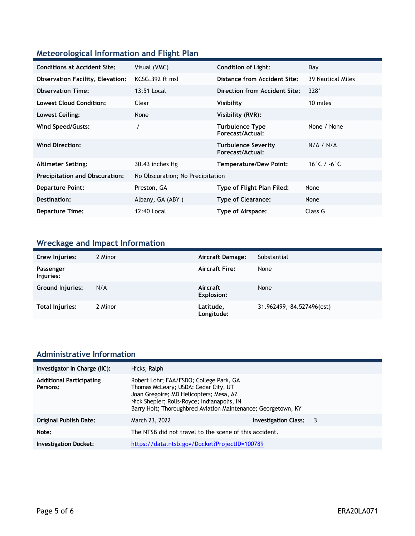#### **Meteorological Information and Flight Plan**

| <b>Conditions at Accident Site:</b>     | Visual (VMC)                     | <b>Condition of Light:</b>                     | Day               |
|-----------------------------------------|----------------------------------|------------------------------------------------|-------------------|
| <b>Observation Facility, Elevation:</b> | KCSG, 392 ft msl                 | Distance from Accident Site:                   | 39 Nautical Miles |
| <b>Observation Time:</b>                | 13:51 Local                      | Direction from Accident Site:                  | 328°              |
| <b>Lowest Cloud Condition:</b>          | Clear                            | Visibility                                     | 10 miles          |
| Lowest Ceiling:                         | None                             | Visibility (RVR):                              |                   |
| Wind Speed/Gusts:                       |                                  | <b>Turbulence Type</b><br>Forecast/Actual:     | None / None       |
| <b>Wind Direction:</b>                  |                                  | <b>Turbulence Severity</b><br>Forecast/Actual: | N/A / N/A         |
| <b>Altimeter Setting:</b>               | 30.43 inches Hg                  | Temperature/Dew Point:                         | 16°C / -6°C       |
| <b>Precipitation and Obscuration:</b>   | No Obscuration; No Precipitation |                                                |                   |
| <b>Departure Point:</b>                 | Preston, GA                      | Type of Flight Plan Filed:                     | None              |
| Destination:                            | Albany, GA (ABY)                 | <b>Type of Clearance:</b>                      | None              |
| <b>Departure Time:</b>                  | 12:40 Local                      | Type of Airspace:                              | Class G           |

## **Wreckage and Impact Information**

| Crew Injuries:          | 2 Minor | Aircraft Damage:        | Substantial                |
|-------------------------|---------|-------------------------|----------------------------|
| Passenger<br>Injuries:  |         | <b>Aircraft Fire:</b>   | None                       |
| <b>Ground Injuries:</b> | N/A     | Aircraft<br>Explosion:  | None                       |
| Total Injuries:         | 2 Minor | Latitude,<br>Longitude: | 31.962499, -84.527496(est) |

# **Administrative Information**

| Investigator In Charge (IIC):               | Hicks, Ralph                                                                                                                                                                                                                               |                             |    |
|---------------------------------------------|--------------------------------------------------------------------------------------------------------------------------------------------------------------------------------------------------------------------------------------------|-----------------------------|----|
| <b>Additional Participating</b><br>Persons: | Robert Lohr; FAA/FSDO; College Park, GA<br>Thomas McLeary; USDA; Cedar City, UT<br>Joan Gregoire; MD Helicopters; Mesa, AZ<br>Nick Shepler; Rolls-Royce; Indianapolis, IN<br>Barry Holt; Thoroughbred Aviation Maintenance; Georgetown, KY |                             |    |
| <b>Original Publish Date:</b>               | March 23, 2022                                                                                                                                                                                                                             | <b>Investigation Class:</b> | -3 |
| Note:                                       | The NTSB did not travel to the scene of this accident.                                                                                                                                                                                     |                             |    |
| <b>Investigation Docket:</b>                | https://data.ntsb.gov/Docket?ProjectID=100789                                                                                                                                                                                              |                             |    |